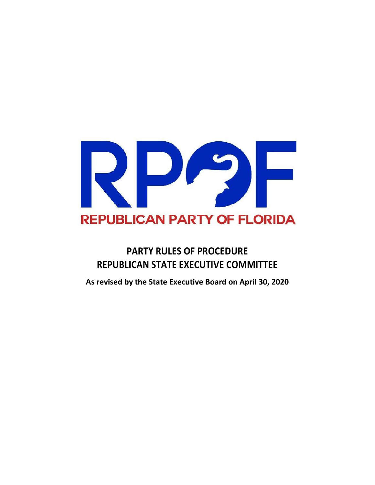

# **PARTY RULES OF PROCEDURE REPUBLICAN STATE EXECUTIVE COMMITTEE**

**As revised by the State Executive Board on April 30, 2020**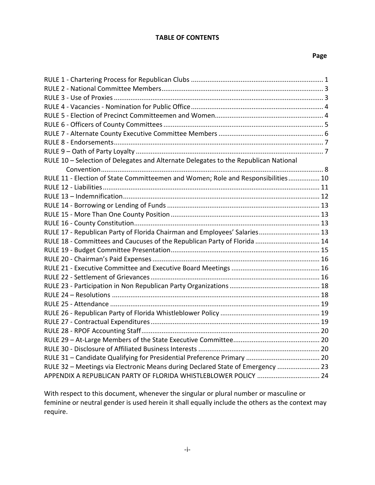#### **TABLE OF CONTENTS**

#### **Page**

| RULE 10 - Selection of Delegates and Alternate Delegates to the Republican National |  |
|-------------------------------------------------------------------------------------|--|
|                                                                                     |  |
| RULE 11 - Election of State Committeemen and Women; Role and Responsibilities 10    |  |
|                                                                                     |  |
|                                                                                     |  |
|                                                                                     |  |
|                                                                                     |  |
|                                                                                     |  |
| RULE 17 - Republican Party of Florida Chairman and Employees' Salaries 13           |  |
| RULE 18 - Committees and Caucuses of the Republican Party of Florida  14            |  |
|                                                                                     |  |
|                                                                                     |  |
|                                                                                     |  |
|                                                                                     |  |
|                                                                                     |  |
|                                                                                     |  |
|                                                                                     |  |
|                                                                                     |  |
|                                                                                     |  |
|                                                                                     |  |
|                                                                                     |  |
|                                                                                     |  |
|                                                                                     |  |
| RULE 32 - Meetings via Electronic Means during Declared State of Emergency  23      |  |
| APPENDIX A REPUBLICAN PARTY OF FLORIDA WHISTLEBLOWER POLICY  24                     |  |

With respect to this document, whenever the singular or plural number or masculine or feminine or neutral gender is used herein it shall equally include the others as the context may require.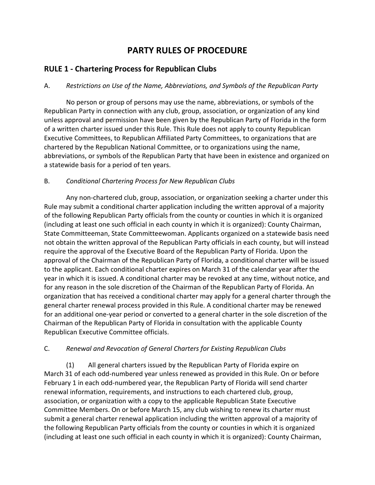## **PARTY RULES OF PROCEDURE**

### **RULE 1 - Chartering Process for Republican Clubs**

#### A. *Restrictions on Use of the Name, Abbreviations, and Symbols of the Republican Party*

No person or group of persons may use the name, abbreviations, or symbols of the Republican Party in connection with any club, group, association, or organization of any kind unless approval and permission have been given by the Republican Party of Florida in the form of a written charter issued under this Rule. This Rule does not apply to county Republican Executive Committees, to Republican Affiliated Party Committees, to organizations that are chartered by the Republican National Committee, or to organizations using the name, abbreviations, or symbols of the Republican Party that have been in existence and organized on a statewide basis for a period of ten years.

#### B. *Conditional Chartering Process for New Republican Clubs*

Any non-chartered club, group, association, or organization seeking a charter under this Rule may submit a conditional charter application including the written approval of a majority of the following Republican Party officials from the county or counties in which it is organized (including at least one such official in each county in which it is organized): County Chairman, State Committeeman, State Committeewoman. Applicants organized on a statewide basis need not obtain the written approval of the Republican Party officials in each county, but will instead require the approval of the Executive Board of the Republican Party of Florida. Upon the approval of the Chairman of the Republican Party of Florida, a conditional charter will be issued to the applicant. Each conditional charter expires on March 31 of the calendar year after the year in which it is issued. A conditional charter may be revoked at any time, without notice, and for any reason in the sole discretion of the Chairman of the Republican Party of Florida. An organization that has received a conditional charter may apply for a general charter through the general charter renewal process provided in this Rule. A conditional charter may be renewed for an additional one-year period or converted to a general charter in the sole discretion of the Chairman of the Republican Party of Florida in consultation with the applicable County Republican Executive Committee officials.

#### C. *Renewal and Revocation of General Charters for Existing Republican Clubs*

(1) All general charters issued by the Republican Party of Florida expire on March 31 of each odd-numbered year unless renewed as provided in this Rule. On or before February 1 in each odd-numbered year, the Republican Party of Florida will send charter renewal information, requirements, and instructions to each chartered club, group, association, or organization with a copy to the applicable Republican State Executive Committee Members. On or before March 15, any club wishing to renew its charter must submit a general charter renewal application including the written approval of a majority of the following Republican Party officials from the county or counties in which it is organized (including at least one such official in each county in which it is organized): County Chairman,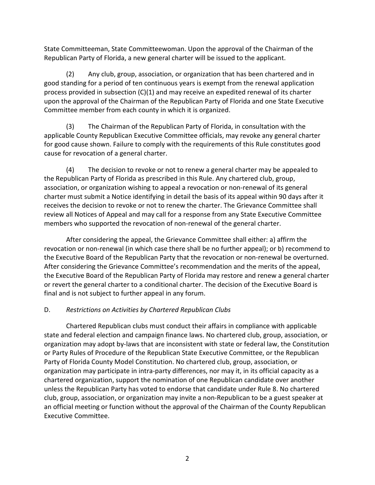State Committeeman, State Committeewoman. Upon the approval of the Chairman of the Republican Party of Florida, a new general charter will be issued to the applicant.

(2) Any club, group, association, or organization that has been chartered and in good standing for a period of ten continuous years is exempt from the renewal application process provided in subsection (C)(1) and may receive an expedited renewal of its charter upon the approval of the Chairman of the Republican Party of Florida and one State Executive Committee member from each county in which it is organized.

(3) The Chairman of the Republican Party of Florida, in consultation with the applicable County Republican Executive Committee officials, may revoke any general charter for good cause shown. Failure to comply with the requirements of this Rule constitutes good cause for revocation of a general charter.

(4) The decision to revoke or not to renew a general charter may be appealed to the Republican Party of Florida as prescribed in this Rule. Any chartered club, group, association, or organization wishing to appeal a revocation or non-renewal of its general charter must submit a Notice identifying in detail the basis of its appeal within 90 days after it receives the decision to revoke or not to renew the charter. The Grievance Committee shall review all Notices of Appeal and may call for a response from any State Executive Committee members who supported the revocation of non-renewal of the general charter.

After considering the appeal, the Grievance Committee shall either: a) affirm the revocation or non-renewal (in which case there shall be no further appeal); or b) recommend to the Executive Board of the Republican Party that the revocation or non-renewal be overturned. After considering the Grievance Committee's recommendation and the merits of the appeal, the Executive Board of the Republican Party of Florida may restore and renew a general charter or revert the general charter to a conditional charter. The decision of the Executive Board is final and is not subject to further appeal in any forum.

### D. *Restrictions on Activities by Chartered Republican Clubs*

Chartered Republican clubs must conduct their affairs in compliance with applicable state and federal election and campaign finance laws. No chartered club, group, association, or organization may adopt by-laws that are inconsistent with state or federal law, the Constitution or Party Rules of Procedure of the Republican State Executive Committee, or the Republican Party of Florida County Model Constitution. No chartered club, group, association, or organization may participate in intra-party differences, nor may it, in its official capacity as a chartered organization, support the nomination of one Republican candidate over another unless the Republican Party has voted to endorse that candidate under Rule 8. No chartered club, group, association, or organization may invite a non-Republican to be a guest speaker at an official meeting or function without the approval of the Chairman of the County Republican Executive Committee.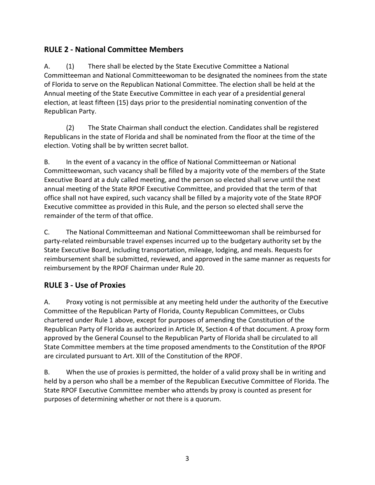## **RULE 2 - National Committee Members**

A. (1) There shall be elected by the State Executive Committee a National Committeeman and National Committeewoman to be designated the nominees from the state of Florida to serve on the Republican National Committee. The election shall be held at the Annual meeting of the State Executive Committee in each year of a presidential general election, at least fifteen (15) days prior to the presidential nominating convention of the Republican Party.

(2) The State Chairman shall conduct the election. Candidates shall be registered Republicans in the state of Florida and shall be nominated from the floor at the time of the election. Voting shall be by written secret ballot.

B. In the event of a vacancy in the office of National Committeeman or National Committeewoman, such vacancy shall be filled by a majority vote of the members of the State Executive Board at a duly called meeting, and the person so elected shall serve until the next annual meeting of the State RPOF Executive Committee, and provided that the term of that office shall not have expired, such vacancy shall be filled by a majority vote of the State RPOF Executive committee as provided in this Rule, and the person so elected shall serve the remainder of the term of that office.

C. The National Committeeman and National Committeewoman shall be reimbursed for party-related reimbursable travel expenses incurred up to the budgetary authority set by the State Executive Board, including transportation, mileage, lodging, and meals. Requests for reimbursement shall be submitted, reviewed, and approved in the same manner as requests for reimbursement by the RPOF Chairman under Rule 20.

## **RULE 3 - Use of Proxies**

A. Proxy voting is not permissible at any meeting held under the authority of the Executive Committee of the Republican Party of Florida, County Republican Committees, or Clubs chartered under Rule 1 above, except for purposes of amending the Constitution of the Republican Party of Florida as authorized in Article IX, Section 4 of that document. A proxy form approved by the General Counsel to the Republican Party of Florida shall be circulated to all State Committee members at the time proposed amendments to the Constitution of the RPOF are circulated pursuant to Art. XIII of the Constitution of the RPOF.

B. When the use of proxies is permitted, the holder of a valid proxy shall be in writing and held by a person who shall be a member of the Republican Executive Committee of Florida. The State RPOF Executive Committee member who attends by proxy is counted as present for purposes of determining whether or not there is a quorum.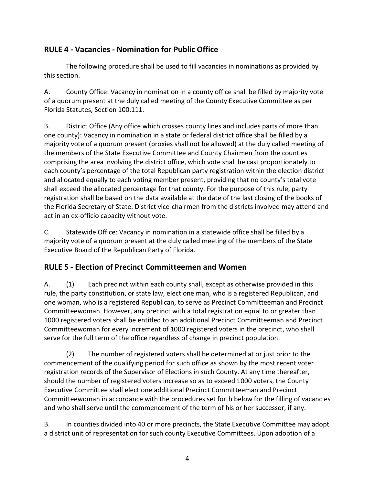## **RULE 4 - Vacancies - Nomination for Public Office**

The following procedure shall be used to fill vacancies in nominations as provided by this section.

A. County Office: Vacancy in nomination in a county office shall be filled by majority vote of a quorum present at the duly called meeting of the County Executive Committee as per Florida Statutes, Section 100.111.

B. District Office (Any office which crosses county lines and includes parts of more than one county): Vacancy in nomination in a state or federal district office shall be filled by a majority vote of a quorum present (proxies shall not be allowed) at the duly called meeting of the members of the State Executive Committee and County Chairmen from the counties comprising the area involving the district office, which vote shall be cast proportionately to each county's percentage of the total Republican party registration within the election district and allocated equally to each voting member present, providing that no county's total vote shall exceed the allocated percentage for that county. For the purpose of this rule, party registration shall be based on the data available at the date of the last closing of the books of the Florida Secretary of State. District vice-chairmen from the districts involved may attend and act in an ex-officio capacity without vote.

C. Statewide Office: Vacancy in nomination in a statewide office shall be filled by a majority vote of a quorum present at the duly called meeting of the members of the State Executive Board of the Republican Party of Florida.

## **RULE 5 - Election of Precinct Committeemen and Women**

A. (1) Each precinct within each county shall, except as otherwise provided in this rule, the party constitution, or state law, elect one man, who is a registered Republican, and one woman, who is a registered Republican, to serve as Precinct Committeeman and Precinct Committeewoman. However, any precinct with a total registration equal to or greater than 1000 registered voters shall be entitled to an additional Precinct Committeeman and Precinct Committeewoman for every increment of 1000 registered voters in the precinct, who shall serve for the full term of the office regardless of change in precinct population.

(2) The number of registered voters shall be determined at or just prior to the commencement of the qualifying period for such office as shown by the most recent voter registration records of the Supervisor of Elections in such County. At any time thereafter, should the number of registered voters increase so as to exceed 1000 voters, the County Executive Committee shall elect one additional Precinct Committeeman and Precinct Committeewoman in accordance with the procedures set forth below for the filling of vacancies and who shall serve until the commencement of the term of his or her successor, if any.

B. In counties divided into 40 or more precincts, the State Executive Committee may adopt a district unit of representation for such county Executive Committees. Upon adoption of a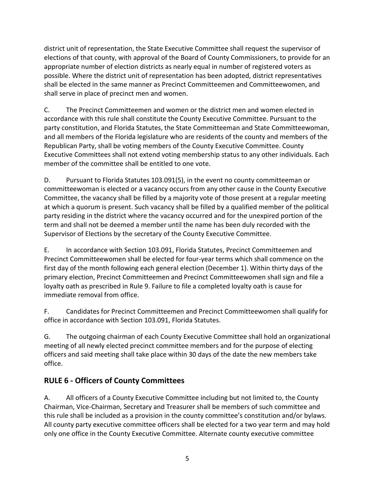district unit of representation, the State Executive Committee shall request the supervisor of elections of that county, with approval of the Board of County Commissioners, to provide for an appropriate number of election districts as nearly equal in number of registered voters as possible. Where the district unit of representation has been adopted, district representatives shall be elected in the same manner as Precinct Committeemen and Committeewomen, and shall serve in place of precinct men and women.

C. The Precinct Committeemen and women or the district men and women elected in accordance with this rule shall constitute the County Executive Committee. Pursuant to the party constitution, and Florida Statutes, the State Committeeman and State Committeewoman, and all members of the Florida legislature who are residents of the county and members of the Republican Party, shall be voting members of the County Executive Committee. County Executive Committees shall not extend voting membership status to any other individuals. Each member of the committee shall be entitled to one vote.

D. Pursuant to Florida Statutes 103.091(5), in the event no county committeeman or committeewoman is elected or a vacancy occurs from any other cause in the County Executive Committee, the vacancy shall be filled by a majority vote of those present at a regular meeting at which a quorum is present. Such vacancy shall be filled by a qualified member of the political party residing in the district where the vacancy occurred and for the unexpired portion of the term and shall not be deemed a member until the name has been duly recorded with the Supervisor of Elections by the secretary of the County Executive Committee.

E. In accordance with Section 103.091, Florida Statutes, Precinct Committeemen and Precinct Committeewomen shall be elected for four-year terms which shall commence on the first day of the month following each general election (December 1). Within thirty days of the primary election, Precinct Committeemen and Precinct Committeewomen shall sign and file a loyalty oath as prescribed in Rule 9. Failure to file a completed loyalty oath is cause for immediate removal from office.

F. Candidates for Precinct Committeemen and Precinct Committeewomen shall qualify for office in accordance with Section 103.091, Florida Statutes.

G. The outgoing chairman of each County Executive Committee shall hold an organizational meeting of all newly elected precinct committee members and for the purpose of electing officers and said meeting shall take place within 30 days of the date the new members take office.

## **RULE 6 - Officers of County Committees**

A. All officers of a County Executive Committee including but not limited to, the County Chairman, Vice-Chairman, Secretary and Treasurer shall be members of such committee and this rule shall be included as a provision in the county committee's constitution and/or bylaws. All county party executive committee officers shall be elected for a two year term and may hold only one office in the County Executive Committee. Alternate county executive committee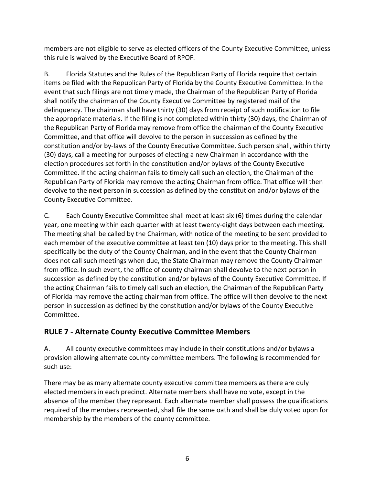members are not eligible to serve as elected officers of the County Executive Committee, unless this rule is waived by the Executive Board of RPOF.

B. Florida Statutes and the Rules of the Republican Party of Florida require that certain items be filed with the Republican Party of Florida by the County Executive Committee. In the event that such filings are not timely made, the Chairman of the Republican Party of Florida shall notify the chairman of the County Executive Committee by registered mail of the delinquency. The chairman shall have thirty (30) days from receipt of such notification to file the appropriate materials. If the filing is not completed within thirty (30) days, the Chairman of the Republican Party of Florida may remove from office the chairman of the County Executive Committee, and that office will devolve to the person in succession as defined by the constitution and/or by-laws of the County Executive Committee. Such person shall, within thirty (30) days, call a meeting for purposes of electing a new Chairman in accordance with the election procedures set forth in the constitution and/or bylaws of the County Executive Committee. If the acting chairman fails to timely call such an election, the Chairman of the Republican Party of Florida may remove the acting Chairman from office. That office will then devolve to the next person in succession as defined by the constitution and/or bylaws of the County Executive Committee.

C. Each County Executive Committee shall meet at least six (6) times during the calendar year, one meeting within each quarter with at least twenty-eight days between each meeting. The meeting shall be called by the Chairman, with notice of the meeting to be sent provided to each member of the executive committee at least ten (10) days prior to the meeting. This shall specifically be the duty of the County Chairman, and in the event that the County Chairman does not call such meetings when due, the State Chairman may remove the County Chairman from office. In such event, the office of county chairman shall devolve to the next person in succession as defined by the constitution and/or bylaws of the County Executive Committee. If the acting Chairman fails to timely call such an election, the Chairman of the Republican Party of Florida may remove the acting chairman from office. The office will then devolve to the next person in succession as defined by the constitution and/or bylaws of the County Executive Committee.

## **RULE 7 - Alternate County Executive Committee Members**

A. All county executive committees may include in their constitutions and/or bylaws a provision allowing alternate county committee members. The following is recommended for such use:

There may be as many alternate county executive committee members as there are duly elected members in each precinct. Alternate members shall have no vote, except in the absence of the member they represent. Each alternate member shall possess the qualifications required of the members represented, shall file the same oath and shall be duly voted upon for membership by the members of the county committee.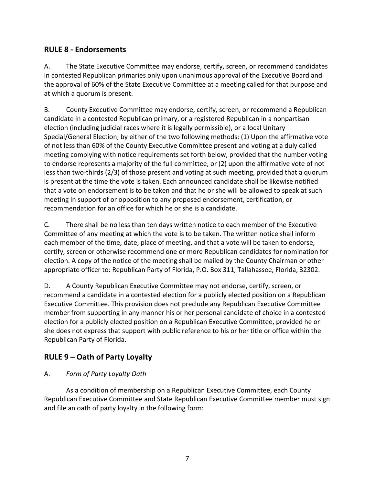### **RULE 8 - Endorsements**

A. The State Executive Committee may endorse, certify, screen, or recommend candidates in contested Republican primaries only upon unanimous approval of the Executive Board and the approval of 60% of the State Executive Committee at a meeting called for that purpose and at which a quorum is present.

B. County Executive Committee may endorse, certify, screen, or recommend a Republican candidate in a contested Republican primary, or a registered Republican in a nonpartisan election (including judicial races where it is legally permissible), or a local Unitary Special/General Election, by either of the two following methods: (1) Upon the affirmative vote of not less than 60% of the County Executive Committee present and voting at a duly called meeting complying with notice requirements set forth below, provided that the number voting to endorse represents a majority of the full committee, or (2) upon the affirmative vote of not less than two-thirds (2/3) of those present and voting at such meeting, provided that a quorum is present at the time the vote is taken. Each announced candidate shall be likewise notified that a vote on endorsement is to be taken and that he or she will be allowed to speak at such meeting in support of or opposition to any proposed endorsement, certification, or recommendation for an office for which he or she is a candidate.

C. There shall be no less than ten days written notice to each member of the Executive Committee of any meeting at which the vote is to be taken. The written notice shall inform each member of the time, date, place of meeting, and that a vote will be taken to endorse, certify, screen or otherwise recommend one or more Republican candidates for nomination for election. A copy of the notice of the meeting shall be mailed by the County Chairman or other appropriate officer to: Republican Party of Florida, P.O. Box 311, Tallahassee, Florida, 32302.

D. A County Republican Executive Committee may not endorse, certify, screen, or recommend a candidate in a contested election for a publicly elected position on a Republican Executive Committee. This provision does not preclude any Republican Executive Committee member from supporting in any manner his or her personal candidate of choice in a contested election for a publicly elected position on a Republican Executive Committee, provided he or she does not express that support with public reference to his or her title or office within the Republican Party of Florida.

## **RULE 9 – Oath of Party Loyalty**

### A. *Form of Party Loyalty Oath*

As a condition of membership on a Republican Executive Committee, each County Republican Executive Committee and State Republican Executive Committee member must sign and file an oath of party loyalty in the following form: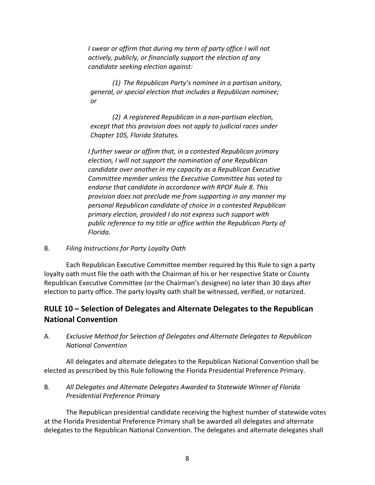*I* swear or affirm that during my term of party office I will not *actively, publicly, or financially support the election of any candidate seeking election against:* 

*(1) The Republican Party's nominee in a partisan unitary, general, or special election that includes a Republican nominee; or* 

*(2) A registered Republican in a non-partisan election, except that this provision does not apply to judicial races under Chapter 105, Florida Statutes.* 

*I further swear or affirm that, in a contested Republican primary election, I will not support the nomination of one Republican candidate over another in my capacity as a Republican Executive Committee member unless the Executive Committee has voted to endorse that candidate in accordance with RPOF Rule 8. This provision does not preclude me from supporting in any manner my personal Republican candidate of choice in a contested Republican primary election, provided I do not express such support with public reference to my title or office within the Republican Party of Florida.* 

#### B. *Filing Instructions for Party Loyalty Oath*

Each Republican Executive Committee member required by this Rule to sign a party loyalty oath must file the oath with the Chairman of his or her respective State or County Republican Executive Committee (or the Chairman's designee) no later than 30 days after election to party office. The party loyalty oath shall be witnessed, verified, or notarized.

## **RULE 10 – Selection of Delegates and Alternate Delegates to the Republican National Convention**

A. *Exclusive Method for Selection of Delegates and Alternate Delegates to Republican National Convention* 

All delegates and alternate delegates to the Republican National Convention shall be elected as prescribed by this Rule following the Florida Presidential Preference Primary.

B. *All Delegates and Alternate Delegates Awarded to Statewide Winner of Florida Presidential Preference Primary* 

The Republican presidential candidate receiving the highest number of statewide votes at the Florida Presidential Preference Primary shall be awarded all delegates and alternate delegates to the Republican National Convention. The delegates and alternate delegates shall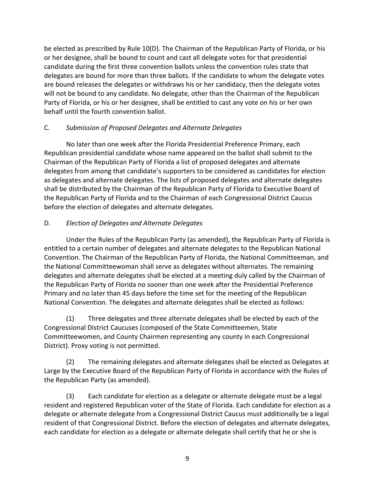be elected as prescribed by Rule 10(D). The Chairman of the Republican Party of Florida, or his or her designee, shall be bound to count and cast all delegate votes for that presidential candidate during the first three convention ballots unless the convention rules state that delegates are bound for more than three ballots. If the candidate to whom the delegate votes are bound releases the delegates or withdraws his or her candidacy, then the delegate votes will not be bound to any candidate. No delegate, other than the Chairman of the Republican Party of Florida, or his or her designee, shall be entitled to cast any vote on his or her own behalf until the fourth convention ballot.

### C. *Submission of Proposed Delegates and Alternate Delegates*

No later than one week after the Florida Presidential Preference Primary, each Republican presidential candidate whose name appeared on the ballot shall submit to the Chairman of the Republican Party of Florida a list of proposed delegates and alternate delegates from among that candidate's supporters to be considered as candidates for election as delegates and alternate delegates. The lists of proposed delegates and alternate delegates shall be distributed by the Chairman of the Republican Party of Florida to Executive Board of the Republican Party of Florida and to the Chairman of each Congressional District Caucus before the election of delegates and alternate delegates.

#### D. *Election of Delegates and Alternate Delegates*

Under the Rules of the Republican Party (as amended), the Republican Party of Florida is entitled to a certain number of delegates and alternate delegates to the Republican National Convention. The Chairman of the Republican Party of Florida, the National Committeeman, and the National Committeewoman shall serve as delegates without alternates. The remaining delegates and alternate delegates shall be elected at a meeting duly called by the Chairman of the Republican Party of Florida no sooner than one week after the Presidential Preference Primary and no later than 45 days before the time set for the meeting of the Republican National Convention. The delegates and alternate delegates shall be elected as follows:

(1) Three delegates and three alternate delegates shall be elected by each of the Congressional District Caucuses (composed of the State Committeemen, State Committeewomen, and County Chairmen representing any county in each Congressional District). Proxy voting is not permitted.

(2) The remaining delegates and alternate delegates shall be elected as Delegates at Large by the Executive Board of the Republican Party of Florida in accordance with the Rules of the Republican Party (as amended).

(3) Each candidate for election as a delegate or alternate delegate must be a legal resident and registered Republican voter of the State of Florida. Each candidate for election as a delegate or alternate delegate from a Congressional District Caucus must additionally be a legal resident of that Congressional District. Before the election of delegates and alternate delegates, each candidate for election as a delegate or alternate delegate shall certify that he or she is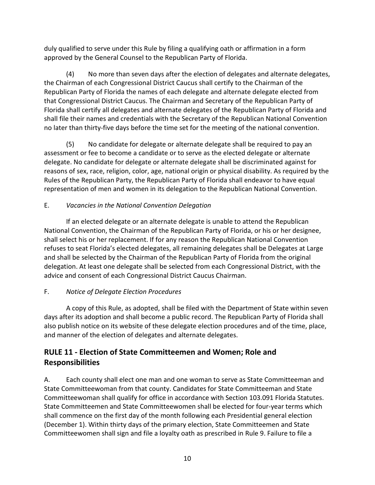duly qualified to serve under this Rule by filing a qualifying oath or affirmation in a form approved by the General Counsel to the Republican Party of Florida.

(4) No more than seven days after the election of delegates and alternate delegates, the Chairman of each Congressional District Caucus shall certify to the Chairman of the Republican Party of Florida the names of each delegate and alternate delegate elected from that Congressional District Caucus. The Chairman and Secretary of the Republican Party of Florida shall certify all delegates and alternate delegates of the Republican Party of Florida and shall file their names and credentials with the Secretary of the Republican National Convention no later than thirty-five days before the time set for the meeting of the national convention.

(5) No candidate for delegate or alternate delegate shall be required to pay an assessment or fee to become a candidate or to serve as the elected delegate or alternate delegate. No candidate for delegate or alternate delegate shall be discriminated against for reasons of sex, race, religion, color, age, national origin or physical disability. As required by the Rules of the Republican Party, the Republican Party of Florida shall endeavor to have equal representation of men and women in its delegation to the Republican National Convention.

### E. *Vacancies in the National Convention Delegation*

If an elected delegate or an alternate delegate is unable to attend the Republican National Convention, the Chairman of the Republican Party of Florida, or his or her designee, shall select his or her replacement. If for any reason the Republican National Convention refuses to seat Florida's elected delegates, all remaining delegates shall be Delegates at Large and shall be selected by the Chairman of the Republican Party of Florida from the original delegation. At least one delegate shall be selected from each Congressional District, with the advice and consent of each Congressional District Caucus Chairman.

## F. *Notice of Delegate Election Procedures*

A copy of this Rule, as adopted, shall be filed with the Department of State within seven days after its adoption and shall become a public record. The Republican Party of Florida shall also publish notice on its website of these delegate election procedures and of the time, place, and manner of the election of delegates and alternate delegates.

## **RULE 11 - Election of State Committeemen and Women; Role and Responsibilities**

A. Each county shall elect one man and one woman to serve as State Committeeman and State Committeewoman from that county. Candidates for State Committeeman and State Committeewoman shall qualify for office in accordance with Section 103.091 Florida Statutes. State Committeemen and State Committeewomen shall be elected for four-year terms which shall commence on the first day of the month following each Presidential general election (December 1). Within thirty days of the primary election, State Committeemen and State Committeewomen shall sign and file a loyalty oath as prescribed in Rule 9. Failure to file a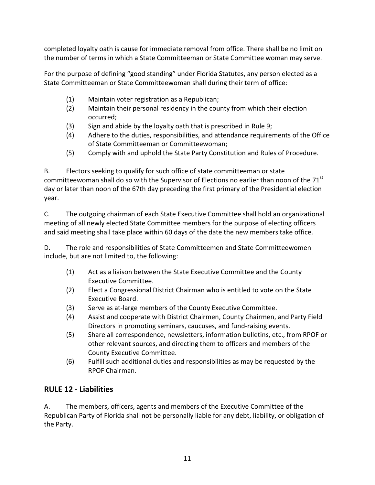completed loyalty oath is cause for immediate removal from office. There shall be no limit on the number of terms in which a State Committeeman or State Committee woman may serve.

For the purpose of defining "good standing" under Florida Statutes, any person elected as a State Committeeman or State Committeewoman shall during their term of office:

- (1) Maintain voter registration as a Republican;
- (2) Maintain their personal residency in the county from which their election occurred;
- (3) Sign and abide by the loyalty oath that is prescribed in Rule 9;
- (4) Adhere to the duties, responsibilities, and attendance requirements of the Office of State Committeeman or Committeewoman;
- (5) Comply with and uphold the State Party Constitution and Rules of Procedure.

B. Electors seeking to qualify for such office of state committeeman or state committeewoman shall do so with the Supervisor of Elections no earlier than noon of the 71<sup>st</sup> day or later than noon of the 67th day preceding the first primary of the Presidential election year.

C. The outgoing chairman of each State Executive Committee shall hold an organizational meeting of all newly elected State Committee members for the purpose of electing officers and said meeting shall take place within 60 days of the date the new members take office.

D. The role and responsibilities of State Committeemen and State Committeewomen include, but are not limited to, the following:

- (1) Act as a liaison between the State Executive Committee and the County Executive Committee.
- (2) Elect a Congressional District Chairman who is entitled to vote on the State Executive Board.
- (3) Serve as at-large members of the County Executive Committee.
- (4) Assist and cooperate with District Chairmen, County Chairmen, and Party Field Directors in promoting seminars, caucuses, and fund-raising events.
- (5) Share all correspondence, newsletters, information bulletins, etc., from RPOF or other relevant sources, and directing them to officers and members of the County Executive Committee.
- (6) Fulfill such additional duties and responsibilities as may be requested by the RPOF Chairman.

## **RULE 12 - Liabilities**

A. The members, officers, agents and members of the Executive Committee of the Republican Party of Florida shall not be personally liable for any debt, liability, or obligation of the Party.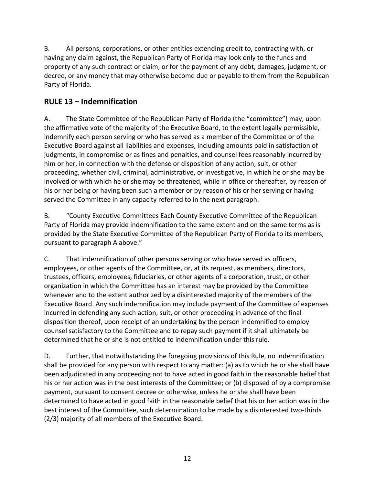B. All persons, corporations, or other entities extending credit to, contracting with, or having any claim against, the Republican Party of Florida may look only to the funds and property of any such contract or claim, or for the payment of any debt, damages, judgment, or decree, or any money that may otherwise become due or payable to them from the Republican Party of Florida.

## **RULE 13 – Indemnification**

A. The State Committee of the Republican Party of Florida (the "committee") may, upon the affirmative vote of the majority of the Executive Board, to the extent legally permissible, indemnify each person serving or who has served as a member of the Committee or of the Executive Board against all liabilities and expenses, including amounts paid in satisfaction of judgments, in compromise or as fines and penalties, and counsel fees reasonably incurred by him or her, in connection with the defense or disposition of any action, suit, or other proceeding, whether civil, criminal, administrative, or investigative, in which he or she may be involved or with which he or she may be threatened, while in office or thereafter, by reason of his or her being or having been such a member or by reason of his or her serving or having served the Committee in any capacity referred to in the next paragraph.

B. "County Executive Committees Each County Executive Committee of the Republican Party of Florida may provide indemnification to the same extent and on the same terms as is provided by the State Executive Committee of the Republican Party of Florida to its members, pursuant to paragraph A above."

C. That indemnification of other persons serving or who have served as officers, employees, or other agents of the Committee, or, at its request, as members, directors, trustees, officers, employees, fiduciaries, or other agents of a corporation, trust, or other organization in which the Committee has an interest may be provided by the Committee whenever and to the extent authorized by a disinterested majority of the members of the Executive Board. Any such indemnification may include payment of the Committee of expenses incurred in defending any such action, suit, or other proceeding in advance of the final disposition thereof, upon receipt of an undertaking by the person indemnified to employ counsel satisfactory to the Committee and to repay such payment if it shall ultimately be determined that he or she is not entitled to indemnification under this rule.

D. Further, that notwithstanding the foregoing provisions of this Rule, no indemnification shall be provided for any person with respect to any matter: (a) as to which he or she shall have been adjudicated in any proceeding not to have acted in good faith in the reasonable belief that his or her action was in the best interests of the Committee; or (b) disposed of by a compromise payment, pursuant to consent decree or otherwise, unless he or she shall have been determined to have acted in good faith in the reasonable belief that his or her action was in the best interest of the Committee, such determination to be made by a disinterested two-thirds (2/3) majority of all members of the Executive Board.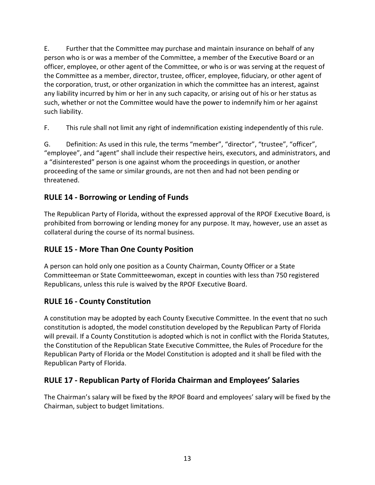E. Further that the Committee may purchase and maintain insurance on behalf of any person who is or was a member of the Committee, a member of the Executive Board or an officer, employee, or other agent of the Committee, or who is or was serving at the request of the Committee as a member, director, trustee, officer, employee, fiduciary, or other agent of the corporation, trust, or other organization in which the committee has an interest, against any liability incurred by him or her in any such capacity, or arising out of his or her status as such, whether or not the Committee would have the power to indemnify him or her against such liability.

F. This rule shall not limit any right of indemnification existing independently of this rule.

G. Definition: As used in this rule, the terms "member", "director", "trustee", "officer", "employee", and "agent" shall include their respective heirs, executors, and administrators, and a "disinterested" person is one against whom the proceedings in question, or another proceeding of the same or similar grounds, are not then and had not been pending or threatened.

## **RULE 14 - Borrowing or Lending of Funds**

The Republican Party of Florida, without the expressed approval of the RPOF Executive Board, is prohibited from borrowing or lending money for any purpose. It may, however, use an asset as collateral during the course of its normal business.

## **RULE 15 - More Than One County Position**

A person can hold only one position as a County Chairman, County Officer or a State Committeeman or State Committeewoman, except in counties with less than 750 registered Republicans, unless this rule is waived by the RPOF Executive Board.

## **RULE 16 - County Constitution**

A constitution may be adopted by each County Executive Committee. In the event that no such constitution is adopted, the model constitution developed by the Republican Party of Florida will prevail. If a County Constitution is adopted which is not in conflict with the Florida Statutes, the Constitution of the Republican State Executive Committee, the Rules of Procedure for the Republican Party of Florida or the Model Constitution is adopted and it shall be filed with the Republican Party of Florida.

## **RULE 17 - Republican Party of Florida Chairman and Employees' Salaries**

The Chairman's salary will be fixed by the RPOF Board and employees' salary will be fixed by the Chairman, subject to budget limitations.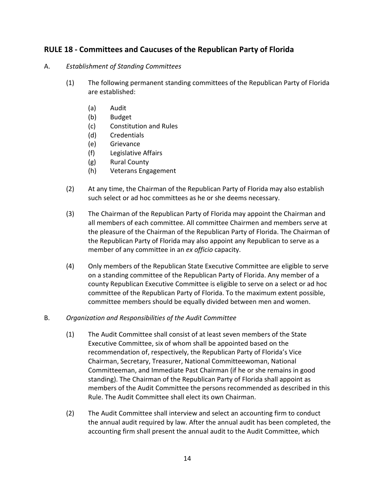### **RULE 18 - Committees and Caucuses of the Republican Party of Florida**

#### A. *Establishment of Standing Committees*

- (1) The following permanent standing committees of the Republican Party of Florida are established:
	- (a) Audit
	- (b) Budget
	- (c) Constitution and Rules
	- (d) Credentials
	- (e) Grievance
	- (f) Legislative Affairs
	- (g) Rural County
	- (h) Veterans Engagement
- (2) At any time, the Chairman of the Republican Party of Florida may also establish such select or ad hoc committees as he or she deems necessary.
- (3) The Chairman of the Republican Party of Florida may appoint the Chairman and all members of each committee. All committee Chairmen and members serve at the pleasure of the Chairman of the Republican Party of Florida. The Chairman of the Republican Party of Florida may also appoint any Republican to serve as a member of any committee in an *ex officio* capacity.
- (4) Only members of the Republican State Executive Committee are eligible to serve on a standing committee of the Republican Party of Florida. Any member of a county Republican Executive Committee is eligible to serve on a select or ad hoc committee of the Republican Party of Florida. To the maximum extent possible, committee members should be equally divided between men and women.
- B. *Organization and Responsibilities of the Audit Committee* 
	- (1) The Audit Committee shall consist of at least seven members of the State Executive Committee, six of whom shall be appointed based on the recommendation of, respectively, the Republican Party of Florida's Vice Chairman, Secretary, Treasurer, National Committeewoman, National Committeeman, and Immediate Past Chairman (if he or she remains in good standing). The Chairman of the Republican Party of Florida shall appoint as members of the Audit Committee the persons recommended as described in this Rule. The Audit Committee shall elect its own Chairman.
	- (2) The Audit Committee shall interview and select an accounting firm to conduct the annual audit required by law. After the annual audit has been completed, the accounting firm shall present the annual audit to the Audit Committee, which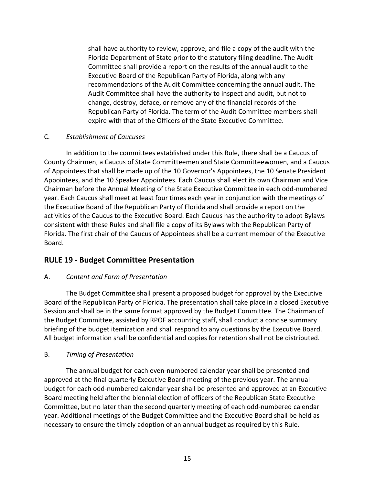shall have authority to review, approve, and file a copy of the audit with the Florida Department of State prior to the statutory filing deadline. The Audit Committee shall provide a report on the results of the annual audit to the Executive Board of the Republican Party of Florida, along with any recommendations of the Audit Committee concerning the annual audit. The Audit Committee shall have the authority to inspect and audit, but not to change, destroy, deface, or remove any of the financial records of the Republican Party of Florida. The term of the Audit Committee members shall expire with that of the Officers of the State Executive Committee.

#### C. *Establishment of Caucuses*

In addition to the committees established under this Rule, there shall be a Caucus of County Chairmen, a Caucus of State Committeemen and State Committeewomen, and a Caucus of Appointees that shall be made up of the 10 Governor's Appointees, the 10 Senate President Appointees, and the 10 Speaker Appointees. Each Caucus shall elect its own Chairman and Vice Chairman before the Annual Meeting of the State Executive Committee in each odd-numbered year. Each Caucus shall meet at least four times each year in conjunction with the meetings of the Executive Board of the Republican Party of Florida and shall provide a report on the activities of the Caucus to the Executive Board. Each Caucus has the authority to adopt Bylaws consistent with these Rules and shall file a copy of its Bylaws with the Republican Party of Florida. The first chair of the Caucus of Appointees shall be a current member of the Executive Board.

## **RULE 19 - Budget Committee Presentation**

### A. *Content and Form of Presentation*

The Budget Committee shall present a proposed budget for approval by the Executive Board of the Republican Party of Florida. The presentation shall take place in a closed Executive Session and shall be in the same format approved by the Budget Committee. The Chairman of the Budget Committee, assisted by RPOF accounting staff, shall conduct a concise summary briefing of the budget itemization and shall respond to any questions by the Executive Board. All budget information shall be confidential and copies for retention shall not be distributed.

#### B. *Timing of Presentation*

The annual budget for each even-numbered calendar year shall be presented and approved at the final quarterly Executive Board meeting of the previous year. The annual budget for each odd-numbered calendar year shall be presented and approved at an Executive Board meeting held after the biennial election of officers of the Republican State Executive Committee, but no later than the second quarterly meeting of each odd-numbered calendar year. Additional meetings of the Budget Committee and the Executive Board shall be held as necessary to ensure the timely adoption of an annual budget as required by this Rule.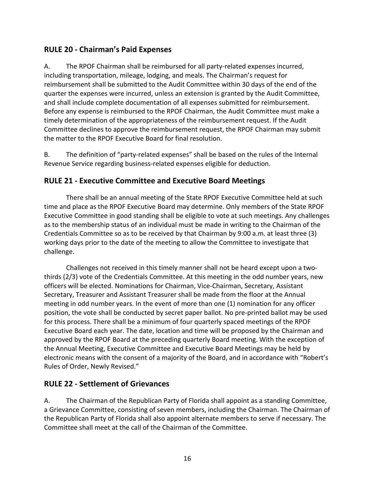## **RULE 20 - Chairman's Paid Expenses**

A. The RPOF Chairman shall be reimbursed for all party-related expenses incurred, including transportation, mileage, lodging, and meals. The Chairman's request for reimbursement shall be submitted to the Audit Committee within 30 days of the end of the quarter the expenses were incurred, unless an extension is granted by the Audit Committee, and shall include complete documentation of all expenses submitted for reimbursement. Before any expense is reimbursed to the RPOF Chairman, the Audit Committee must make a timely determination of the appropriateness of the reimbursement request. If the Audit Committee declines to approve the reimbursement request, the RPOF Chairman may submit the matter to the RPOF Executive Board for final resolution.

B. The definition of "party-related expenses" shall be based on the rules of the Internal Revenue Service regarding business-related expenses eligible for deduction.

### **RULE 21 - Executive Committee and Executive Board Meetings**

There shall be an annual meeting of the State RPOF Executive Committee held at such time and place as the RPOF Executive Board may determine. Only members of the State RPOF Executive Committee in good standing shall be eligible to vote at such meetings. Any challenges as to the membership status of an individual must be made in writing to the Chairman of the Credentials Committee so as to be received by that Chairman by 9:00 a.m. at least three (3) working days prior to the date of the meeting to allow the Committee to investigate that challenge.

Challenges not received in this timely manner shall not be heard except upon a twothirds (2/3) vote of the Credentials Committee. At this meeting in the odd number years, new officers will be elected. Nominations for Chairman, Vice-Chairman, Secretary, Assistant Secretary, Treasurer and Assistant Treasurer shall be made from the floor at the Annual meeting in odd number years. In the event of more than one (1) nomination for any officer position, the vote shall be conducted by secret paper ballot. No pre-printed ballot may be used for this process. There shall be a minimum of four quarterly spaced meetings of the RPOF Executive Board each year. The date, location and time will be proposed by the Chairman and approved by the RPOF Board at the preceding quarterly Board meeting. With the exception of the Annual Meeting, Executive Committee and Executive Board Meetings may be held by electronic means with the consent of a majority of the Board, and in accordance with "Robert's Rules of Order, Newly Revised."

## **RULE 22 - Settlement of Grievances**

A. The Chairman of the Republican Party of Florida shall appoint as a standing Committee, a Grievance Committee, consisting of seven members, including the Chairman. The Chairman of the Republican Party of Florida shall also appoint alternate members to serve if necessary. The Committee shall meet at the call of the Chairman of the Committee.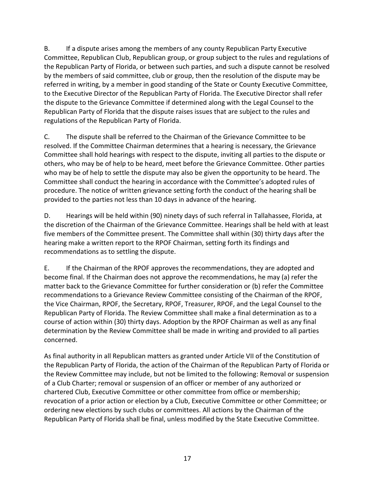B. If a dispute arises among the members of any county Republican Party Executive Committee, Republican Club, Republican group, or group subject to the rules and regulations of the Republican Party of Florida, or between such parties, and such a dispute cannot be resolved by the members of said committee, club or group, then the resolution of the dispute may be referred in writing, by a member in good standing of the State or County Executive Committee, to the Executive Director of the Republican Party of Florida. The Executive Director shall refer the dispute to the Grievance Committee if determined along with the Legal Counsel to the Republican Party of Florida that the dispute raises issues that are subject to the rules and regulations of the Republican Party of Florida.

C. The dispute shall be referred to the Chairman of the Grievance Committee to be resolved. If the Committee Chairman determines that a hearing is necessary, the Grievance Committee shall hold hearings with respect to the dispute, inviting all parties to the dispute or others, who may be of help to be heard, meet before the Grievance Committee. Other parties who may be of help to settle the dispute may also be given the opportunity to be heard. The Committee shall conduct the hearing in accordance with the Committee's adopted rules of procedure. The notice of written grievance setting forth the conduct of the hearing shall be provided to the parties not less than 10 days in advance of the hearing.

D. Hearings will be held within (90) ninety days of such referral in Tallahassee, Florida, at the discretion of the Chairman of the Grievance Committee. Hearings shall be held with at least five members of the Committee present. The Committee shall within (30) thirty days after the hearing make a written report to the RPOF Chairman, setting forth its findings and recommendations as to settling the dispute.

E. If the Chairman of the RPOF approves the recommendations, they are adopted and become final. If the Chairman does not approve the recommendations, he may (a) refer the matter back to the Grievance Committee for further consideration or (b) refer the Committee recommendations to a Grievance Review Committee consisting of the Chairman of the RPOF, the Vice Chairman, RPOF, the Secretary, RPOF, Treasurer, RPOF, and the Legal Counsel to the Republican Party of Florida. The Review Committee shall make a final determination as to a course of action within (30) thirty days. Adoption by the RPOF Chairman as well as any final determination by the Review Committee shall be made in writing and provided to all parties concerned.

As final authority in all Republican matters as granted under Article VII of the Constitution of the Republican Party of Florida, the action of the Chairman of the Republican Party of Florida or the Review Committee may include, but not be limited to the following: Removal or suspension of a Club Charter; removal or suspension of an officer or member of any authorized or chartered Club, Executive Committee or other committee from office or membership; revocation of a prior action or election by a Club, Executive Committee or other Committee; or ordering new elections by such clubs or committees. All actions by the Chairman of the Republican Party of Florida shall be final, unless modified by the State Executive Committee.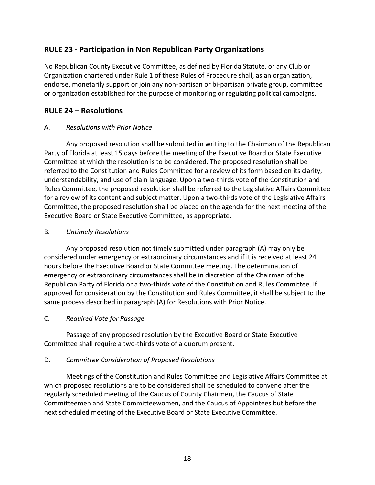### **RULE 23 - Participation in Non Republican Party Organizations**

No Republican County Executive Committee, as defined by Florida Statute, or any Club or Organization chartered under Rule 1 of these Rules of Procedure shall, as an organization, endorse, monetarily support or join any non-partisan or bi-partisan private group, committee or organization established for the purpose of monitoring or regulating political campaigns.

### **RULE 24 – Resolutions**

#### A. *Resolutions with Prior Notice*

Any proposed resolution shall be submitted in writing to the Chairman of the Republican Party of Florida at least 15 days before the meeting of the Executive Board or State Executive Committee at which the resolution is to be considered. The proposed resolution shall be referred to the Constitution and Rules Committee for a review of its form based on its clarity, understandability, and use of plain language. Upon a two-thirds vote of the Constitution and Rules Committee, the proposed resolution shall be referred to the Legislative Affairs Committee for a review of its content and subject matter. Upon a two-thirds vote of the Legislative Affairs Committee, the proposed resolution shall be placed on the agenda for the next meeting of the Executive Board or State Executive Committee, as appropriate.

#### B. *Untimely Resolutions*

Any proposed resolution not timely submitted under paragraph (A) may only be considered under emergency or extraordinary circumstances and if it is received at least 24 hours before the Executive Board or State Committee meeting. The determination of emergency or extraordinary circumstances shall be in discretion of the Chairman of the Republican Party of Florida or a two-thirds vote of the Constitution and Rules Committee. If approved for consideration by the Constitution and Rules Committee, it shall be subject to the same process described in paragraph (A) for Resolutions with Prior Notice.

#### C. *Required Vote for Passage*

Passage of any proposed resolution by the Executive Board or State Executive Committee shall require a two-thirds vote of a quorum present.

#### D. *Committee Consideration of Proposed Resolutions*

Meetings of the Constitution and Rules Committee and Legislative Affairs Committee at which proposed resolutions are to be considered shall be scheduled to convene after the regularly scheduled meeting of the Caucus of County Chairmen, the Caucus of State Committeemen and State Committeewomen, and the Caucus of Appointees but before the next scheduled meeting of the Executive Board or State Executive Committee.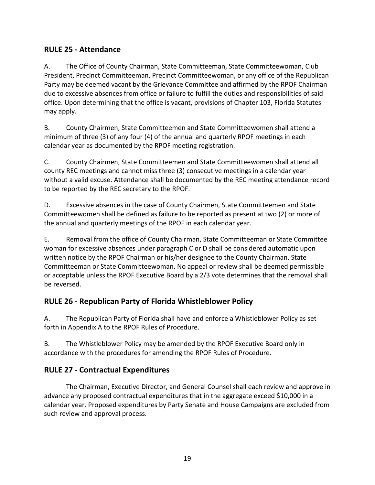## **RULE 25 - Attendance**

A. The Office of County Chairman, State Committeeman, State Committeewoman, Club President, Precinct Committeeman, Precinct Committeewoman, or any office of the Republican Party may be deemed vacant by the Grievance Committee and affirmed by the RPOF Chairman due to excessive absences from office or failure to fulfill the duties and responsibilities of said office. Upon determining that the office is vacant, provisions of Chapter 103, Florida Statutes may apply.

B. County Chairmen, State Committeemen and State Committeewomen shall attend a minimum of three (3) of any four (4) of the annual and quarterly RPOF meetings in each calendar year as documented by the RPOF meeting registration.

C. County Chairmen, State Committeemen and State Committeewomen shall attend all county REC meetings and cannot miss three (3) consecutive meetings in a calendar year without a valid excuse. Attendance shall be documented by the REC meeting attendance record to be reported by the REC secretary to the RPOF.

D. Excessive absences in the case of County Chairmen, State Committeemen and State Committeewomen shall be defined as failure to be reported as present at two (2) or more of the annual and quarterly meetings of the RPOF in each calendar year.

E. Removal from the office of County Chairman, State Committeeman or State Committee woman for excessive absences under paragraph C or D shall be considered automatic upon written notice by the RPOF Chairman or his/her designee to the County Chairman, State Committeeman or State Committeewoman. No appeal or review shall be deemed permissible or acceptable unless the RPOF Executive Board by a 2/3 vote determines that the removal shall be reversed.

## **RULE 26 - Republican Party of Florida Whistleblower Policy**

A. The Republican Party of Florida shall have and enforce a Whistleblower Policy as set forth in Appendix A to the RPOF Rules of Procedure.

B. The Whistleblower Policy may be amended by the RPOF Executive Board only in accordance with the procedures for amending the RPOF Rules of Procedure.

## **RULE 27 - Contractual Expenditures**

The Chairman, Executive Director, and General Counsel shall each review and approve in advance any proposed contractual expenditures that in the aggregate exceed \$10,000 in a calendar year. Proposed expenditures by Party Senate and House Campaigns are excluded from such review and approval process.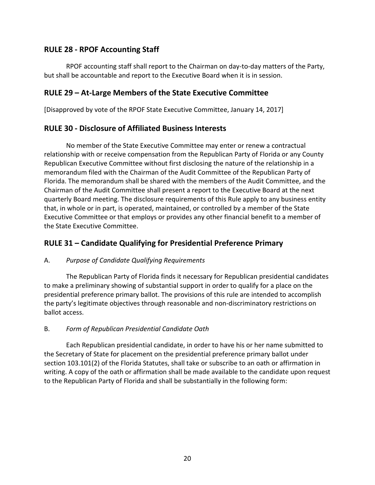### **RULE 28 - RPOF Accounting Staff**

RPOF accounting staff shall report to the Chairman on day-to-day matters of the Party, but shall be accountable and report to the Executive Board when it is in session.

### **RULE 29 – At-Large Members of the State Executive Committee**

[Disapproved by vote of the RPOF State Executive Committee, January 14, 2017]

### **RULE 30 - Disclosure of Affiliated Business Interests**

No member of the State Executive Committee may enter or renew a contractual relationship with or receive compensation from the Republican Party of Florida or any County Republican Executive Committee without first disclosing the nature of the relationship in a memorandum filed with the Chairman of the Audit Committee of the Republican Party of Florida. The memorandum shall be shared with the members of the Audit Committee, and the Chairman of the Audit Committee shall present a report to the Executive Board at the next quarterly Board meeting. The disclosure requirements of this Rule apply to any business entity that, in whole or in part, is operated, maintained, or controlled by a member of the State Executive Committee or that employs or provides any other financial benefit to a member of the State Executive Committee.

## **RULE 31 – Candidate Qualifying for Presidential Preference Primary**

#### A. *Purpose of Candidate Qualifying Requirements*

The Republican Party of Florida finds it necessary for Republican presidential candidates to make a preliminary showing of substantial support in order to qualify for a place on the presidential preference primary ballot. The provisions of this rule are intended to accomplish the party's legitimate objectives through reasonable and non-discriminatory restrictions on ballot access.

### B. *Form of Republican Presidential Candidate Oath*

Each Republican presidential candidate, in order to have his or her name submitted to the Secretary of State for placement on the presidential preference primary ballot under section 103.101(2) of the Florida Statutes, shall take or subscribe to an oath or affirmation in writing. A copy of the oath or affirmation shall be made available to the candidate upon request to the Republican Party of Florida and shall be substantially in the following form: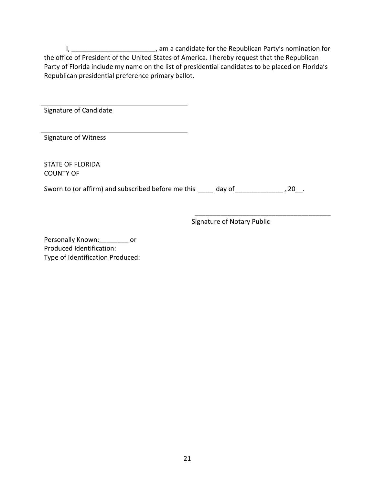I, \_\_\_\_\_\_\_\_\_\_\_\_\_\_\_\_\_\_\_\_\_\_\_\_\_, am a candidate for the Republican Party's nomination for the office of President of the United States of America. I hereby request that the Republican Party of Florida include my name on the list of presidential candidates to be placed on Florida's Republican presidential preference primary ballot.

| Signature of Candidate                             |              |
|----------------------------------------------------|--------------|
| Signature of Witness                               |              |
| <b>STATE OF FLORIDA</b><br><b>COUNTY OF</b>        |              |
| Sworn to (or affirm) and subscribed before me this | day of<br>20 |

Signature of Notary Public

\_\_\_\_\_\_\_\_\_\_\_\_\_\_\_\_\_\_\_\_\_\_\_\_\_\_\_\_\_\_\_\_\_\_\_\_\_

Personally Known: or Produced Identification: Type of Identification Produced: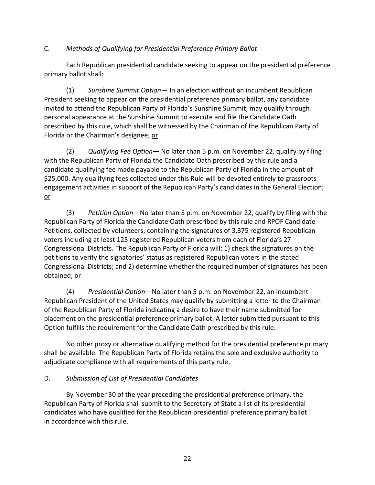#### C. *Methods of Qualifying for Presidential Preference Primary Ballot*

Each Republican presidential candidate seeking to appear on the presidential preference primary ballot shall:

(1) *Sunshine Summit Option*— In an election without an incumbent Republican President seeking to appear on the presidential preference primary ballot, any candidate invited to attend the Republican Party of Florida's Sunshine Summit, may qualify through personal appearance at the Sunshine Summit to execute and file the Candidate Oath prescribed by this rule, which shall be witnessed by the Chairman of the Republican Party of Florida or the Chairman's designee; or

(2) *Qualifying Fee Option*— No later than 5 p.m. on November 22, qualify by filing with the Republican Party of Florida the Candidate Oath prescribed by this rule and a candidate qualifying fee made payable to the Republican Party of Florida in the amount of \$25,000. Any qualifying fees collected under this Rule will be devoted entirely to grassroots engagement activities in support of the Republican Party's candidates in the General Election; or

(3) *Petition Option*—No later than 5 p.m. on November 22, qualify by filing with the Republican Party of Florida the Candidate Oath prescribed by this rule and RPOF Candidate Petitions, collected by volunteers, containing the signatures of 3,375 registered Republican voters including at least 125 registered Republican voters from each of Florida's 27 Congressional Districts. The Republican Party of Florida will: 1) check the signatures on the petitions to verify the signatories' status as registered Republican voters in the stated Congressional Districts; and 2) determine whether the required number of signatures has been obtained; or

(4) *Presidential Option*—No later than 5 p.m. on November 22, an incumbent Republican President of the United States may qualify by submitting a letter to the Chairman of the Republican Party of Florida indicating a desire to have their name submitted for placement on the presidential preference primary ballot. A letter submitted pursuant to this Option fulfills the requirement for the Candidate Oath prescribed by this rule.

No other proxy or alternative qualifying method for the presidential preference primary shall be available. The Republican Party of Florida retains the sole and exclusive authority to adjudicate compliance with all requirements of this party rule.

#### D. *Submission of List of Presidential Candidates*

By November 30 of the year preceding the presidential preference primary, the Republican Party of Florida shall submit to the Secretary of State a list of its presidential candidates who have qualified for the Republican presidential preference primary ballot in accordance with this rule.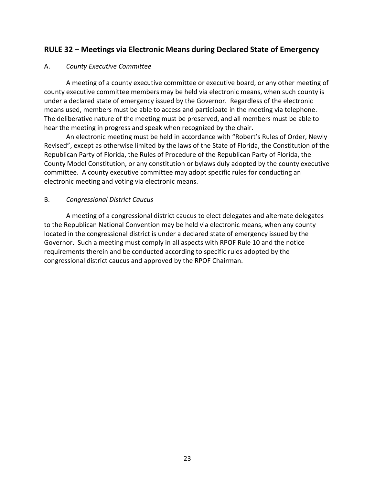### **RULE 32 – Meetings via Electronic Means during Declared State of Emergency**

#### A. *County Executive Committee*

A meeting of a county executive committee or executive board, or any other meeting of county executive committee members may be held via electronic means, when such county is under a declared state of emergency issued by the Governor. Regardless of the electronic means used, members must be able to access and participate in the meeting via telephone. The deliberative nature of the meeting must be preserved, and all members must be able to hear the meeting in progress and speak when recognized by the chair.

An electronic meeting must be held in accordance with "Robert's Rules of Order, Newly Revised", except as otherwise limited by the laws of the State of Florida, the Constitution of the Republican Party of Florida, the Rules of Procedure of the Republican Party of Florida, the County Model Constitution, or any constitution or bylaws duly adopted by the county executive committee. A county executive committee may adopt specific rules for conducting an electronic meeting and voting via electronic means.

#### B. *Congressional District Caucus*

A meeting of a congressional district caucus to elect delegates and alternate delegates to the Republican National Convention may be held via electronic means, when any county located in the congressional district is under a declared state of emergency issued by the Governor. Such a meeting must comply in all aspects with RPOF Rule 10 and the notice requirements therein and be conducted according to specific rules adopted by the congressional district caucus and approved by the RPOF Chairman.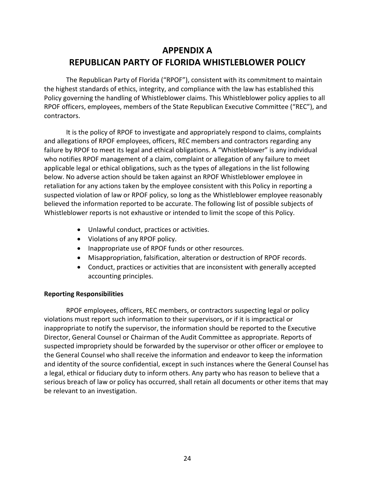## **APPENDIX A REPUBLICAN PARTY OF FLORIDA WHISTLEBLOWER POLICY**

The Republican Party of Florida ("RPOF"), consistent with its commitment to maintain the highest standards of ethics, integrity, and compliance with the law has established this Policy governing the handling of Whistleblower claims. This Whistleblower policy applies to all RPOF officers, employees, members of the State Republican Executive Committee ("REC"), and contractors.

It is the policy of RPOF to investigate and appropriately respond to claims, complaints and allegations of RPOF employees, officers, REC members and contractors regarding any failure by RPOF to meet its legal and ethical obligations. A "Whistleblower" is any individual who notifies RPOF management of a claim, complaint or allegation of any failure to meet applicable legal or ethical obligations, such as the types of allegations in the list following below. No adverse action should be taken against an RPOF Whistleblower employee in retaliation for any actions taken by the employee consistent with this Policy in reporting a suspected violation of law or RPOF policy, so long as the Whistleblower employee reasonably believed the information reported to be accurate. The following list of possible subjects of Whistleblower reports is not exhaustive or intended to limit the scope of this Policy.

- Unlawful conduct, practices or activities.
- Violations of any RPOF policy.
- Inappropriate use of RPOF funds or other resources.
- Misappropriation, falsification, alteration or destruction of RPOF records.
- Conduct, practices or activities that are inconsistent with generally accepted accounting principles.

#### **Reporting Responsibilities**

RPOF employees, officers, REC members, or contractors suspecting legal or policy violations must report such information to their supervisors, or if it is impractical or inappropriate to notify the supervisor, the information should be reported to the Executive Director, General Counsel or Chairman of the Audit Committee as appropriate. Reports of suspected impropriety should be forwarded by the supervisor or other officer or employee to the General Counsel who shall receive the information and endeavor to keep the information and identity of the source confidential, except in such instances where the General Counsel has a legal, ethical or fiduciary duty to inform others. Any party who has reason to believe that a serious breach of law or policy has occurred, shall retain all documents or other items that may be relevant to an investigation.